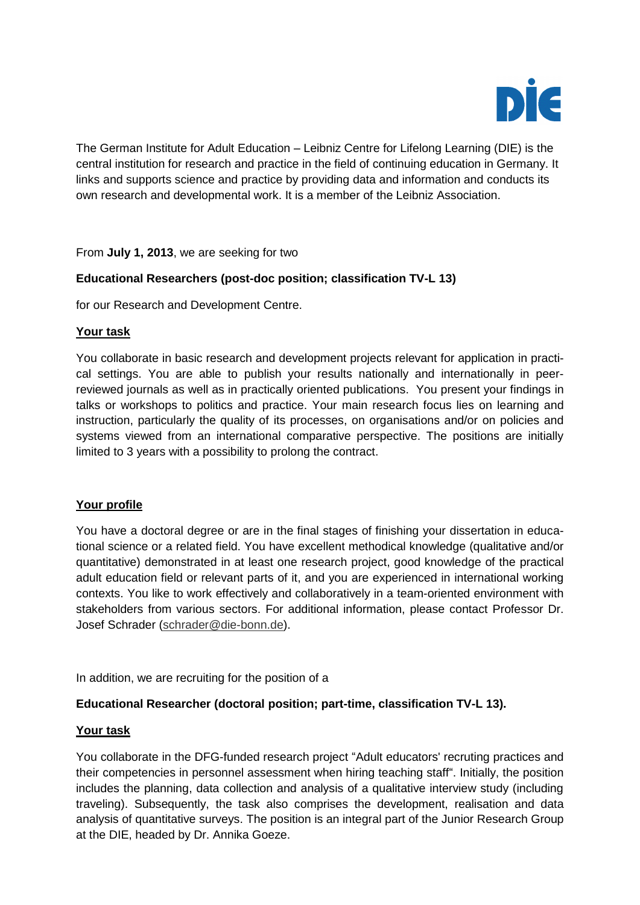

The German Institute for Adult Education – Leibniz Centre for Lifelong Learning (DIE) is the central institution for research and practice in the field of continuing education in Germany. It links and supports science and practice by providing data and information and conducts its own research and developmental work. It is a member of the Leibniz Association.

From **July 1, 2013**, we are seeking for two

## **Educational Researchers (post-doc position; classification TV-L 13)**

for our Research and Development Centre.

#### **Your task**

You collaborate in basic research and development projects relevant for application in practical settings. You are able to publish your results nationally and internationally in peerreviewed journals as well as in practically oriented publications. You present your findings in talks or workshops to politics and practice. Your main research focus lies on learning and instruction, particularly the quality of its processes, on organisations and/or on policies and systems viewed from an international comparative perspective. The positions are initially limited to 3 years with a possibility to prolong the contract.

#### **Your profile**

You have a doctoral degree or are in the final stages of finishing your dissertation in educational science or a related field. You have excellent methodical knowledge (qualitative and/or quantitative) demonstrated in at least one research project, good knowledge of the practical adult education field or relevant parts of it, and you are experienced in international working contexts. You like to work effectively and collaboratively in a team-oriented environment with stakeholders from various sectors. For additional information, please contact Professor Dr. Josef Schrader [\(schrader@die-bonn.de\)](mailto:schrader@die-bonn.de).

In addition, we are recruiting for the position of a

#### **Educational Researcher (doctoral position; part-time, classification TV-L 13).**

#### **Your task**

You collaborate in the DFG-funded research project "Adult educators' recruting practices and their competencies in personnel assessment when hiring teaching staff". Initially, the position includes the planning, data collection and analysis of a qualitative interview study (including traveling). Subsequently, the task also comprises the development, realisation and data analysis of quantitative surveys. The position is an integral part of the Junior Research Group at the DIE, headed by Dr. Annika Goeze.